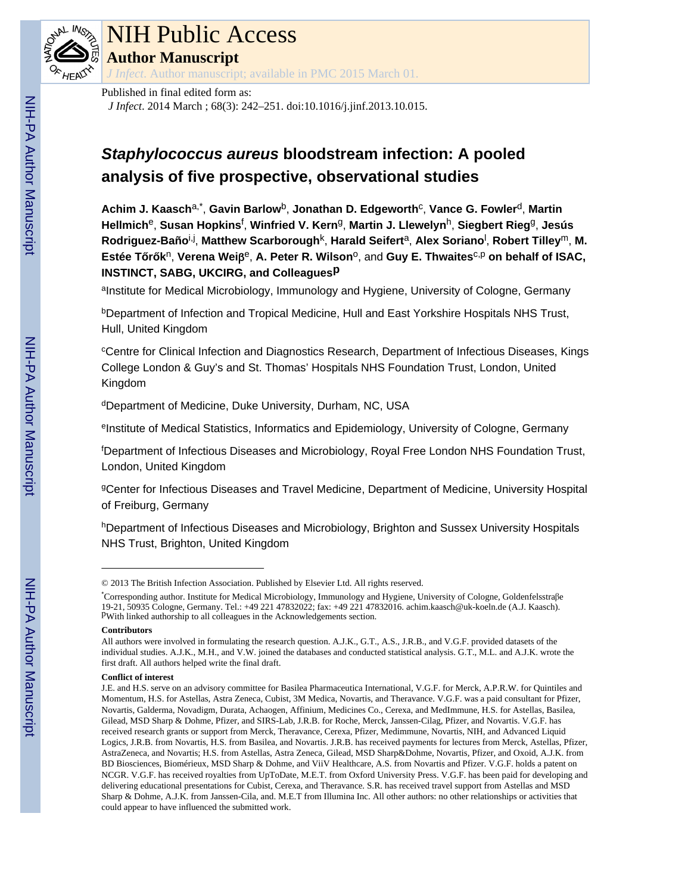

### NIH Public Access

**Author Manuscript**

*J Infect*. Author manuscript; available in PMC 2015 March 01.

#### Published in final edited form as:

*J Infect*. 2014 March ; 68(3): 242–251. doi:10.1016/j.jinf.2013.10.015.

### **Staphylococcus aureus bloodstream infection: A pooled analysis of five prospective, observational studies**

**Achim J. Kaasch**a,\* , **Gavin Barlow**b, **Jonathan D. Edgeworth**<sup>c</sup> , **Vance G. Fowler**d, **Martin Hellmich**e, **Susan Hopkins**<sup>f</sup> , **Winfried V. Kern**g, **Martin J. Llewelyn**h, **Siegbert Rieg**g, **Jesús Rodriguez-Baño**i,j , **Matthew Scarborough**<sup>k</sup> , **Harald Seifert**a, **Alex Soriano**<sup>l</sup> , **Robert Tilley**m, **M. Estée T** r k<sup>n</sup>, Verena Weiβ<sup>e</sup>, A. Peter R. Wilson<sup>o</sup>, and Guy E. Thwaites<sup>c,p</sup> on behalf of ISAC, **INSTINCT, SABG, UKCIRG, and Colleaguesp**

<sup>a</sup>Institute for Medical Microbiology, Immunology and Hygiene, University of Cologne, Germany

**bDepartment of Infection and Tropical Medicine, Hull and East Yorkshire Hospitals NHS Trust,** Hull, United Kingdom

<sup>c</sup>Centre for Clinical Infection and Diagnostics Research, Department of Infectious Diseases, Kings College London & Guy's and St. Thomas' Hospitals NHS Foundation Trust, London, United Kingdom

<sup>d</sup>Department of Medicine, Duke University, Durham, NC, USA

elnstitute of Medical Statistics, Informatics and Epidemiology, University of Cologne, Germany

<sup>f</sup>Department of Infectious Diseases and Microbiology, Royal Free London NHS Foundation Trust, London, United Kingdom

<sup>g</sup>Center for Infectious Diseases and Travel Medicine, Department of Medicine, University Hospital of Freiburg, Germany

hDepartment of Infectious Diseases and Microbiology, Brighton and Sussex University Hospitals NHS Trust, Brighton, United Kingdom

**Contributors**

#### **Conflict of interest**

<sup>© 2013</sup> The British Infection Association. Published by Elsevier Ltd. All rights reserved.

<sup>\*</sup>Corresponding author. Institute for Medical Microbiology, Immunology and Hygiene, University of Cologne, Goldenfelsstraβe 19-21, 50935 Cologne, Germany. Tel.: +49 221 47832022; fax: +49 221 47832016. achim.kaasch@uk-koeln.de (A.J. Kaasch). pWith linked authorship to all colleagues in the Acknowledgements section.

All authors were involved in formulating the research question. A.J.K., G.T., A.S., J.R.B., and V.G.F. provided datasets of the individual studies. A.J.K., M.H., and V.W. joined the databases and conducted statistical analysis. G.T., M.L. and A.J.K. wrote the first draft. All authors helped write the final draft.

J.E. and H.S. serve on an advisory committee for Basilea Pharmaceutica International, V.G.F. for Merck, A.P.R.W. for Quintiles and Momentum, H.S. for Astellas, Astra Zeneca, Cubist, 3M Medica, Novartis, and Theravance. V.G.F. was a paid consultant for Pfizer, Novartis, Galderma, Novadigm, Durata, Achaogen, Affinium, Medicines Co., Cerexa, and MedImmune, H.S. for Astellas, Basilea, Gilead, MSD Sharp & Dohme, Pfizer, and SIRS-Lab, J.R.B. for Roche, Merck, Janssen-Cilag, Pfizer, and Novartis. V.G.F. has received research grants or support from Merck, Theravance, Cerexa, Pfizer, Medimmune, Novartis, NIH, and Advanced Liquid Logics, J.R.B. from Novartis, H.S. from Basilea, and Novartis. J.R.B. has received payments for lectures from Merck, Astellas, Pfizer, AstraZeneca, and Novartis; H.S. from Astellas, Astra Zeneca, Gilead, MSD Sharp&Dohme, Novartis, Pfizer, and Oxoid, A.J.K. from BD Biosciences, Biomérieux, MSD Sharp & Dohme, and ViiV Healthcare, A.S. from Novartis and Pfizer. V.G.F. holds a patent on NCGR. V.G.F. has received royalties from UpToDate, M.E.T. from Oxford University Press. V.G.F. has been paid for developing and delivering educational presentations for Cubist, Cerexa, and Theravance. S.R. has received travel support from Astellas and MSD Sharp & Dohme, A.J.K. from Janssen-Cila, and. M.E.T from Illumina Inc. All other authors: no other relationships or activities that could appear to have influenced the submitted work.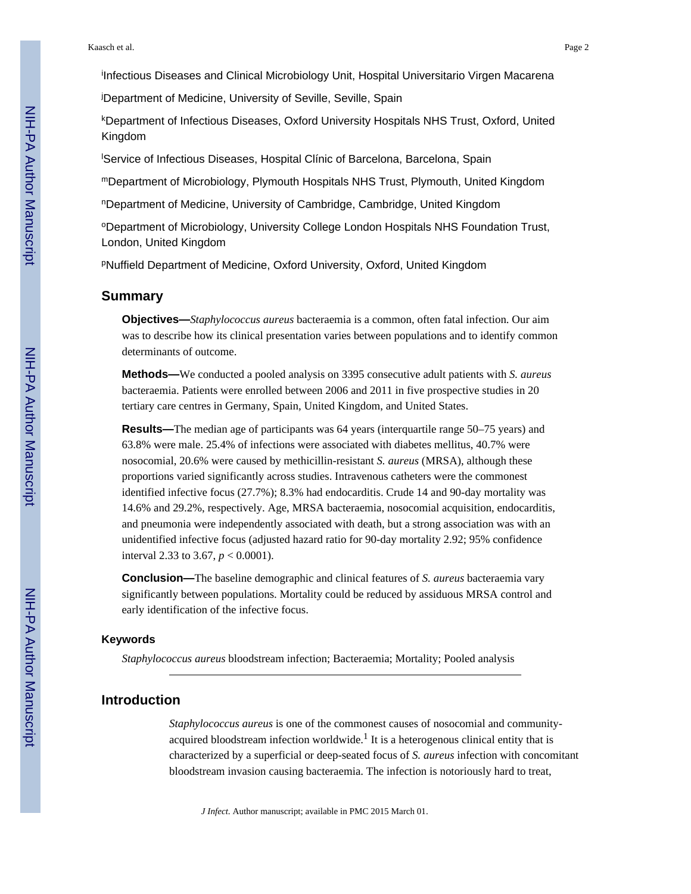i Infectious Diseases and Clinical Microbiology Unit, Hospital Universitario Virgen Macarena

<sup>j</sup>Department of Medicine, University of Seville, Seville, Spain

<sup>k</sup>Department of Infectious Diseases, Oxford University Hospitals NHS Trust, Oxford, United Kingdom

<sup>l</sup>Service of Infectious Diseases, Hospital Clínic of Barcelona, Barcelona, Spain

<sup>m</sup>Department of Microbiology, Plymouth Hospitals NHS Trust, Plymouth, United Kingdom

<sup>n</sup>Department of Medicine, University of Cambridge, Cambridge, United Kingdom

<sup>o</sup>Department of Microbiology, University College London Hospitals NHS Foundation Trust, London, United Kingdom

<sup>p</sup>Nuffield Department of Medicine, Oxford University, Oxford, United Kingdom

#### **Summary**

**Objectives—***Staphylococcus aureus* bacteraemia is a common, often fatal infection. Our aim was to describe how its clinical presentation varies between populations and to identify common determinants of outcome.

**Methods—**We conducted a pooled analysis on 3395 consecutive adult patients with *S. aureus* bacteraemia. Patients were enrolled between 2006 and 2011 in five prospective studies in 20 tertiary care centres in Germany, Spain, United Kingdom, and United States.

**Results—**The median age of participants was 64 years (interquartile range 50–75 years) and 63.8% were male. 25.4% of infections were associated with diabetes mellitus, 40.7% were nosocomial, 20.6% were caused by methicillin-resistant *S. aureus* (MRSA), although these proportions varied significantly across studies. Intravenous catheters were the commonest identified infective focus (27.7%); 8.3% had endocarditis. Crude 14 and 90-day mortality was 14.6% and 29.2%, respectively. Age, MRSA bacteraemia, nosocomial acquisition, endocarditis, and pneumonia were independently associated with death, but a strong association was with an unidentified infective focus (adjusted hazard ratio for 90-day mortality 2.92; 95% confidence interval 2.33 to 3.67, *p* < 0.0001).

**Conclusion—**The baseline demographic and clinical features of *S. aureus* bacteraemia vary significantly between populations. Mortality could be reduced by assiduous MRSA control and early identification of the infective focus.

#### **Keywords**

*Staphylococcus aureus* bloodstream infection; Bacteraemia; Mortality; Pooled analysis

#### **Introduction**

*Staphylococcus aureus* is one of the commonest causes of nosocomial and communityacquired bloodstream infection worldwide.<sup>1</sup> It is a heterogenous clinical entity that is characterized by a superficial or deep-seated focus of *S. aureus* infection with concomitant bloodstream invasion causing bacteraemia. The infection is notoriously hard to treat,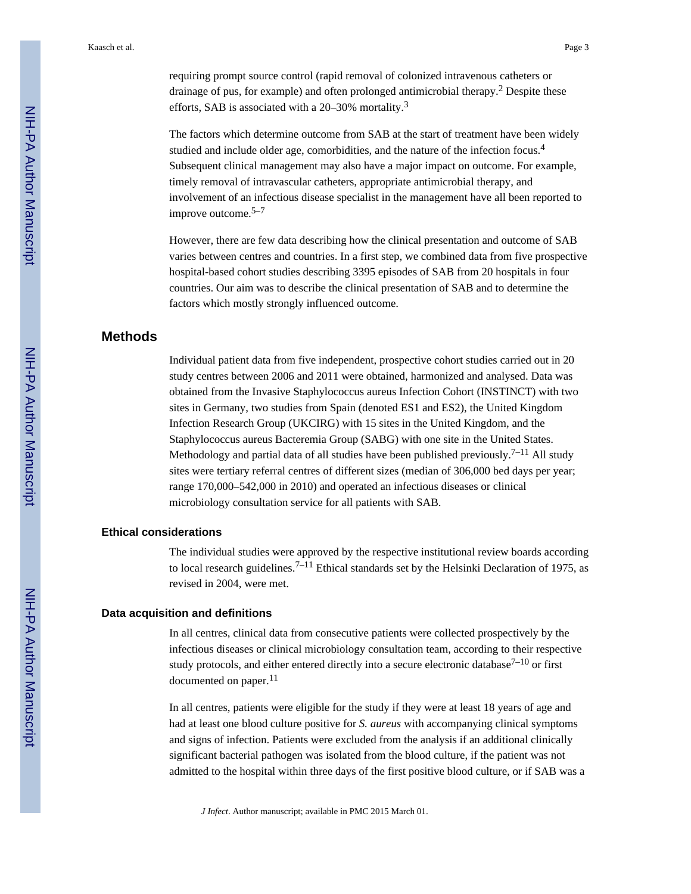requiring prompt source control (rapid removal of colonized intravenous catheters or drainage of pus, for example) and often prolonged antimicrobial therapy.<sup>2</sup> Despite these efforts, SAB is associated with a 20–30% mortality.<sup>3</sup>

The factors which determine outcome from SAB at the start of treatment have been widely studied and include older age, comorbidities, and the nature of the infection focus.<sup>4</sup> Subsequent clinical management may also have a major impact on outcome. For example, timely removal of intravascular catheters, appropriate antimicrobial therapy, and involvement of an infectious disease specialist in the management have all been reported to improve outcome. $5-7$ 

However, there are few data describing how the clinical presentation and outcome of SAB varies between centres and countries. In a first step, we combined data from five prospective hospital-based cohort studies describing 3395 episodes of SAB from 20 hospitals in four countries. Our aim was to describe the clinical presentation of SAB and to determine the factors which mostly strongly influenced outcome.

#### **Methods**

Individual patient data from five independent, prospective cohort studies carried out in 20 study centres between 2006 and 2011 were obtained, harmonized and analysed. Data was obtained from the Invasive Staphylococcus aureus Infection Cohort (INSTINCT) with two sites in Germany, two studies from Spain (denoted ES1 and ES2), the United Kingdom Infection Research Group (UKCIRG) with 15 sites in the United Kingdom, and the Staphylococcus aureus Bacteremia Group (SABG) with one site in the United States. Methodology and partial data of all studies have been published previously.<sup>7–11</sup> All study sites were tertiary referral centres of different sizes (median of 306,000 bed days per year; range 170,000–542,000 in 2010) and operated an infectious diseases or clinical microbiology consultation service for all patients with SAB.

#### **Ethical considerations**

The individual studies were approved by the respective institutional review boards according to local research guidelines.<sup>7–11</sup> Ethical standards set by the Helsinki Declaration of 1975, as revised in 2004, were met.

#### **Data acquisition and definitions**

In all centres, clinical data from consecutive patients were collected prospectively by the infectious diseases or clinical microbiology consultation team, according to their respective study protocols, and either entered directly into a secure electronic database<sup>7-10</sup> or first documented on paper.<sup>11</sup>

In all centres, patients were eligible for the study if they were at least 18 years of age and had at least one blood culture positive for *S. aureus* with accompanying clinical symptoms and signs of infection. Patients were excluded from the analysis if an additional clinically significant bacterial pathogen was isolated from the blood culture, if the patient was not admitted to the hospital within three days of the first positive blood culture, or if SAB was a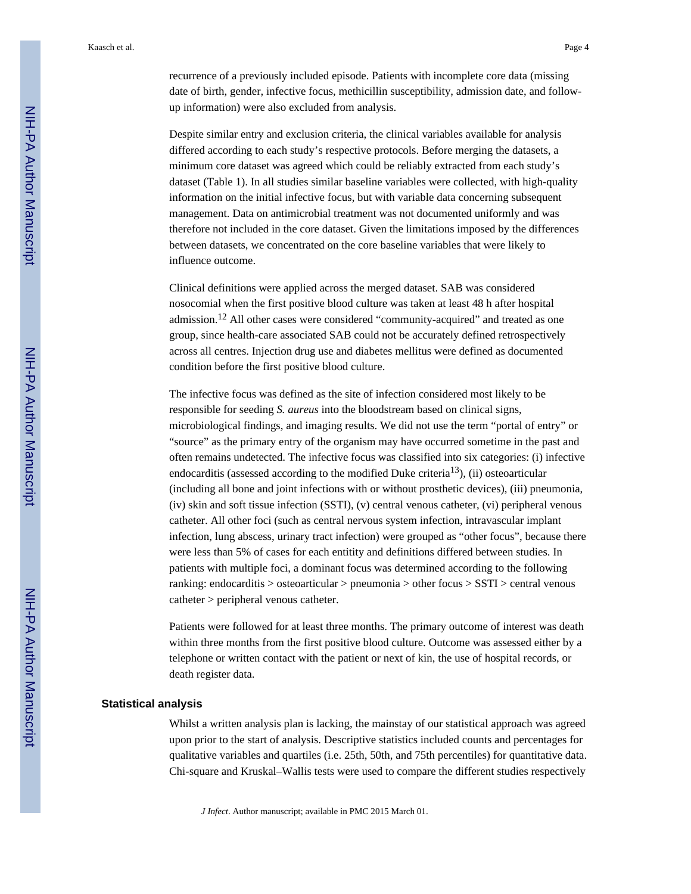recurrence of a previously included episode. Patients with incomplete core data (missing date of birth, gender, infective focus, methicillin susceptibility, admission date, and followup information) were also excluded from analysis.

Despite similar entry and exclusion criteria, the clinical variables available for analysis differed according to each study's respective protocols. Before merging the datasets, a minimum core dataset was agreed which could be reliably extracted from each study's dataset (Table 1). In all studies similar baseline variables were collected, with high-quality information on the initial infective focus, but with variable data concerning subsequent management. Data on antimicrobial treatment was not documented uniformly and was therefore not included in the core dataset. Given the limitations imposed by the differences between datasets, we concentrated on the core baseline variables that were likely to influence outcome.

Clinical definitions were applied across the merged dataset. SAB was considered nosocomial when the first positive blood culture was taken at least 48 h after hospital admission.12 All other cases were considered "community-acquired" and treated as one group, since health-care associated SAB could not be accurately defined retrospectively across all centres. Injection drug use and diabetes mellitus were defined as documented condition before the first positive blood culture.

The infective focus was defined as the site of infection considered most likely to be responsible for seeding *S. aureus* into the bloodstream based on clinical signs, microbiological findings, and imaging results. We did not use the term "portal of entry" or "source" as the primary entry of the organism may have occurred sometime in the past and often remains undetected. The infective focus was classified into six categories: (i) infective endocarditis (assessed according to the modified Duke criteria<sup>13</sup>), (ii) osteoarticular (including all bone and joint infections with or without prosthetic devices), (iii) pneumonia, (iv) skin and soft tissue infection (SSTI), (v) central venous catheter, (vi) peripheral venous catheter. All other foci (such as central nervous system infection, intravascular implant infection, lung abscess, urinary tract infection) were grouped as "other focus", because there were less than 5% of cases for each entitity and definitions differed between studies. In patients with multiple foci, a dominant focus was determined according to the following ranking: endocarditis > osteoarticular > pneumonia > other focus > SSTI > central venous catheter > peripheral venous catheter.

Patients were followed for at least three months. The primary outcome of interest was death within three months from the first positive blood culture. Outcome was assessed either by a telephone or written contact with the patient or next of kin, the use of hospital records, or death register data.

#### **Statistical analysis**

Whilst a written analysis plan is lacking, the mainstay of our statistical approach was agreed upon prior to the start of analysis. Descriptive statistics included counts and percentages for qualitative variables and quartiles (i.e. 25th, 50th, and 75th percentiles) for quantitative data. Chi-square and Kruskal–Wallis tests were used to compare the different studies respectively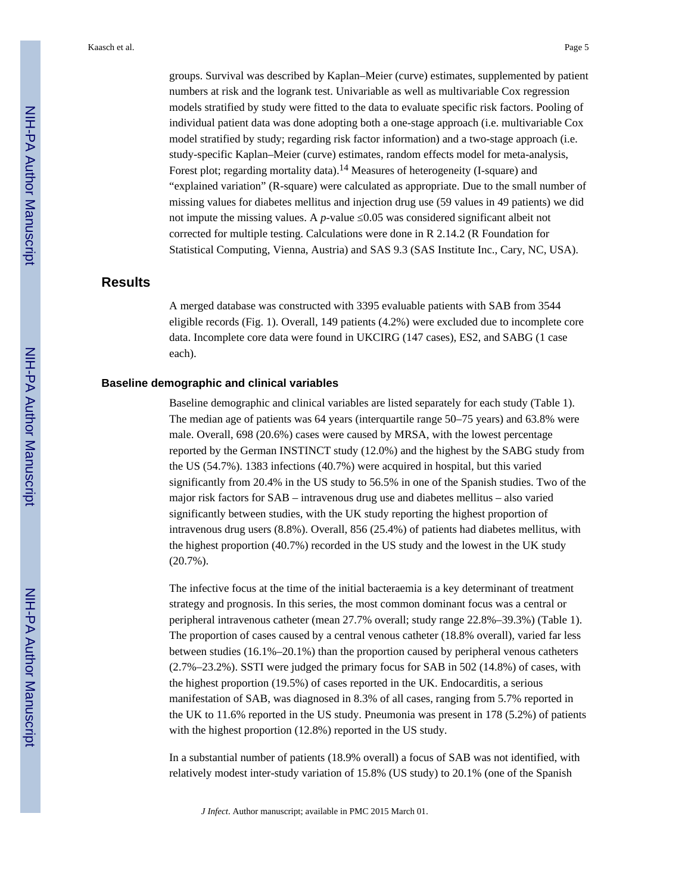groups. Survival was described by Kaplan–Meier (curve) estimates, supplemented by patient numbers at risk and the logrank test. Univariable as well as multivariable Cox regression models stratified by study were fitted to the data to evaluate specific risk factors. Pooling of individual patient data was done adopting both a one-stage approach (i.e. multivariable Cox model stratified by study; regarding risk factor information) and a two-stage approach (i.e. study-specific Kaplan–Meier (curve) estimates, random effects model for meta-analysis, Forest plot; regarding mortality data).<sup>14</sup> Measures of heterogeneity (I-square) and "explained variation" (R-square) were calculated as appropriate. Due to the small number of missing values for diabetes mellitus and injection drug use (59 values in 49 patients) we did not impute the missing values. A  $p$ -value  $\left(0.05\right)$  was considered significant albeit not corrected for multiple testing. Calculations were done in R 2.14.2 (R Foundation for Statistical Computing, Vienna, Austria) and SAS 9.3 (SAS Institute Inc., Cary, NC, USA).

#### **Results**

A merged database was constructed with 3395 evaluable patients with SAB from 3544 eligible records (Fig. 1). Overall, 149 patients (4.2%) were excluded due to incomplete core data. Incomplete core data were found in UKCIRG (147 cases), ES2, and SABG (1 case each).

#### **Baseline demographic and clinical variables**

Baseline demographic and clinical variables are listed separately for each study (Table 1). The median age of patients was 64 years (interquartile range 50–75 years) and 63.8% were male. Overall, 698 (20.6%) cases were caused by MRSA, with the lowest percentage reported by the German INSTINCT study (12.0%) and the highest by the SABG study from the US (54.7%). 1383 infections (40.7%) were acquired in hospital, but this varied significantly from 20.4% in the US study to 56.5% in one of the Spanish studies. Two of the major risk factors for SAB – intravenous drug use and diabetes mellitus – also varied significantly between studies, with the UK study reporting the highest proportion of intravenous drug users (8.8%). Overall, 856 (25.4%) of patients had diabetes mellitus, with the highest proportion (40.7%) recorded in the US study and the lowest in the UK study (20.7%).

The infective focus at the time of the initial bacteraemia is a key determinant of treatment strategy and prognosis. In this series, the most common dominant focus was a central or peripheral intravenous catheter (mean 27.7% overall; study range 22.8%–39.3%) (Table 1). The proportion of cases caused by a central venous catheter (18.8% overall), varied far less between studies (16.1%–20.1%) than the proportion caused by peripheral venous catheters (2.7%–23.2%). SSTI were judged the primary focus for SAB in 502 (14.8%) of cases, with the highest proportion (19.5%) of cases reported in the UK. Endocarditis, a serious manifestation of SAB, was diagnosed in 8.3% of all cases, ranging from 5.7% reported in the UK to 11.6% reported in the US study. Pneumonia was present in 178 (5.2%) of patients with the highest proportion (12.8%) reported in the US study.

In a substantial number of patients (18.9% overall) a focus of SAB was not identified, with relatively modest inter-study variation of 15.8% (US study) to 20.1% (one of the Spanish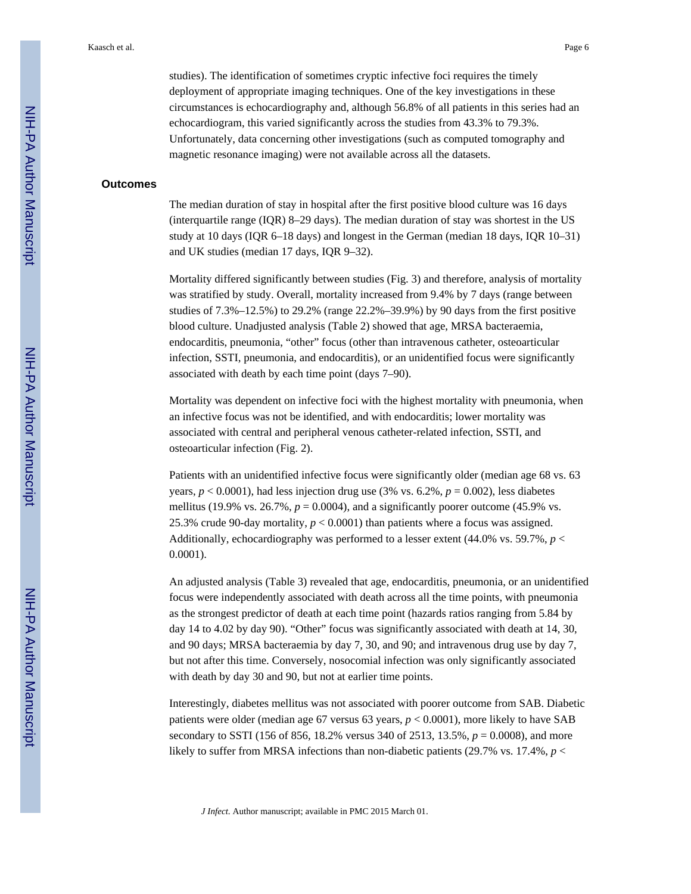studies). The identification of sometimes cryptic infective foci requires the timely deployment of appropriate imaging techniques. One of the key investigations in these circumstances is echocardiography and, although 56.8% of all patients in this series had an echocardiogram, this varied significantly across the studies from 43.3% to 79.3%. Unfortunately, data concerning other investigations (such as computed tomography and magnetic resonance imaging) were not available across all the datasets.

#### **Outcomes**

The median duration of stay in hospital after the first positive blood culture was 16 days (interquartile range (IQR) 8–29 days). The median duration of stay was shortest in the US study at 10 days (IQR 6–18 days) and longest in the German (median 18 days, IQR 10–31) and UK studies (median 17 days, IQR 9–32).

Mortality differed significantly between studies (Fig. 3) and therefore, analysis of mortality was stratified by study. Overall, mortality increased from 9.4% by 7 days (range between studies of 7.3%–12.5%) to 29.2% (range 22.2%–39.9%) by 90 days from the first positive blood culture. Unadjusted analysis (Table 2) showed that age, MRSA bacteraemia, endocarditis, pneumonia, "other" focus (other than intravenous catheter, osteoarticular infection, SSTI, pneumonia, and endocarditis), or an unidentified focus were significantly associated with death by each time point (days 7–90).

Mortality was dependent on infective foci with the highest mortality with pneumonia, when an infective focus was not be identified, and with endocarditis; lower mortality was associated with central and peripheral venous catheter-related infection, SSTI, and osteoarticular infection (Fig. 2).

Patients with an unidentified infective focus were significantly older (median age 68 vs. 63 years,  $p < 0.0001$ ), had less injection drug use (3% vs. 6.2%,  $p = 0.002$ ), less diabetes mellitus (19.9% vs. 26.7%,  $p = 0.0004$ ), and a significantly poorer outcome (45.9% vs. 25.3% crude 90-day mortality, *p* < 0.0001) than patients where a focus was assigned. Additionally, echocardiography was performed to a lesser extent (44.0% vs. 59.7%, *p* < 0.0001).

An adjusted analysis (Table 3) revealed that age, endocarditis, pneumonia, or an unidentified focus were independently associated with death across all the time points, with pneumonia as the strongest predictor of death at each time point (hazards ratios ranging from 5.84 by day 14 to 4.02 by day 90). "Other" focus was significantly associated with death at 14, 30, and 90 days; MRSA bacteraemia by day 7, 30, and 90; and intravenous drug use by day 7, but not after this time. Conversely, nosocomial infection was only significantly associated with death by day 30 and 90, but not at earlier time points.

Interestingly, diabetes mellitus was not associated with poorer outcome from SAB. Diabetic patients were older (median age 67 versus 63 years, *p* < 0.0001), more likely to have SAB secondary to SSTI (156 of 856, 18.2% versus 340 of 2513, 13.5%, *p* = 0.0008), and more likely to suffer from MRSA infections than non-diabetic patients (29.7% vs. 17.4%, *p* <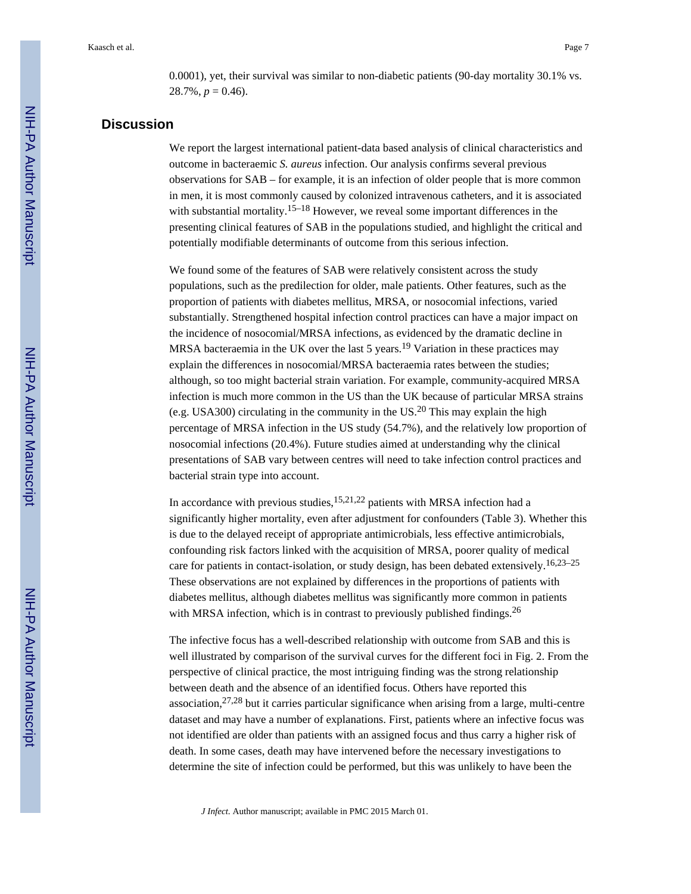0.0001), yet, their survival was similar to non-diabetic patients (90-day mortality 30.1% vs.  $28.7\%, p = 0.46$ .

#### **Discussion**

We report the largest international patient-data based analysis of clinical characteristics and outcome in bacteraemic *S. aureus* infection. Our analysis confirms several previous observations for SAB – for example, it is an infection of older people that is more common in men, it is most commonly caused by colonized intravenous catheters, and it is associated with substantial mortality.<sup>15–18</sup> However, we reveal some important differences in the presenting clinical features of SAB in the populations studied, and highlight the critical and potentially modifiable determinants of outcome from this serious infection.

We found some of the features of SAB were relatively consistent across the study populations, such as the predilection for older, male patients. Other features, such as the proportion of patients with diabetes mellitus, MRSA, or nosocomial infections, varied substantially. Strengthened hospital infection control practices can have a major impact on the incidence of nosocomial/MRSA infections, as evidenced by the dramatic decline in MRSA bacteraemia in the UK over the last 5 years.<sup>19</sup> Variation in these practices may explain the differences in nosocomial/MRSA bacteraemia rates between the studies; although, so too might bacterial strain variation. For example, community-acquired MRSA infection is much more common in the US than the UK because of particular MRSA strains (e.g. USA300) circulating in the community in the US.<sup>20</sup> This may explain the high percentage of MRSA infection in the US study (54.7%), and the relatively low proportion of nosocomial infections (20.4%). Future studies aimed at understanding why the clinical presentations of SAB vary between centres will need to take infection control practices and bacterial strain type into account.

In accordance with previous studies,  $15,21,22$  patients with MRSA infection had a significantly higher mortality, even after adjustment for confounders (Table 3). Whether this is due to the delayed receipt of appropriate antimicrobials, less effective antimicrobials, confounding risk factors linked with the acquisition of MRSA, poorer quality of medical care for patients in contact-isolation, or study design, has been debated extensively.16,23–25 These observations are not explained by differences in the proportions of patients with diabetes mellitus, although diabetes mellitus was significantly more common in patients with MRSA infection, which is in contrast to previously published findings.<sup>26</sup>

The infective focus has a well-described relationship with outcome from SAB and this is well illustrated by comparison of the survival curves for the different foci in Fig. 2. From the perspective of clinical practice, the most intriguing finding was the strong relationship between death and the absence of an identified focus. Others have reported this association,  $27,28$  but it carries particular significance when arising from a large, multi-centre dataset and may have a number of explanations. First, patients where an infective focus was not identified are older than patients with an assigned focus and thus carry a higher risk of death. In some cases, death may have intervened before the necessary investigations to determine the site of infection could be performed, but this was unlikely to have been the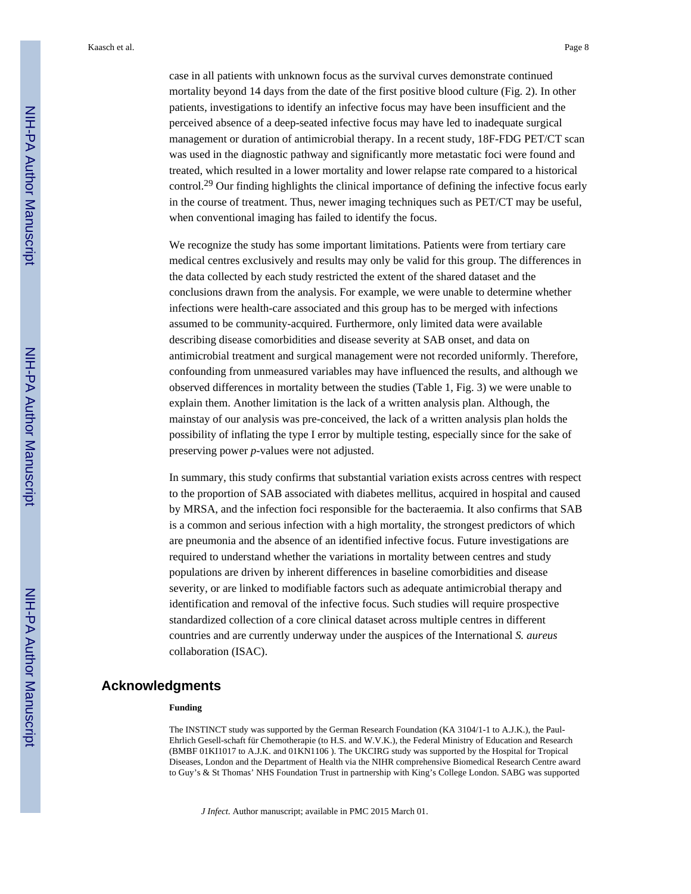case in all patients with unknown focus as the survival curves demonstrate continued mortality beyond 14 days from the date of the first positive blood culture (Fig. 2). In other patients, investigations to identify an infective focus may have been insufficient and the perceived absence of a deep-seated infective focus may have led to inadequate surgical management or duration of antimicrobial therapy. In a recent study, 18F-FDG PET/CT scan was used in the diagnostic pathway and significantly more metastatic foci were found and treated, which resulted in a lower mortality and lower relapse rate compared to a historical control.29 Our finding highlights the clinical importance of defining the infective focus early in the course of treatment. Thus, newer imaging techniques such as PET/CT may be useful, when conventional imaging has failed to identify the focus.

We recognize the study has some important limitations. Patients were from tertiary care medical centres exclusively and results may only be valid for this group. The differences in the data collected by each study restricted the extent of the shared dataset and the conclusions drawn from the analysis. For example, we were unable to determine whether infections were health-care associated and this group has to be merged with infections assumed to be community-acquired. Furthermore, only limited data were available describing disease comorbidities and disease severity at SAB onset, and data on antimicrobial treatment and surgical management were not recorded uniformly. Therefore, confounding from unmeasured variables may have influenced the results, and although we observed differences in mortality between the studies (Table 1, Fig. 3) we were unable to explain them. Another limitation is the lack of a written analysis plan. Although, the mainstay of our analysis was pre-conceived, the lack of a written analysis plan holds the possibility of inflating the type I error by multiple testing, especially since for the sake of preserving power *p*-values were not adjusted.

In summary, this study confirms that substantial variation exists across centres with respect to the proportion of SAB associated with diabetes mellitus, acquired in hospital and caused by MRSA, and the infection foci responsible for the bacteraemia. It also confirms that SAB is a common and serious infection with a high mortality, the strongest predictors of which are pneumonia and the absence of an identified infective focus. Future investigations are required to understand whether the variations in mortality between centres and study populations are driven by inherent differences in baseline comorbidities and disease severity, or are linked to modifiable factors such as adequate antimicrobial therapy and identification and removal of the infective focus. Such studies will require prospective standardized collection of a core clinical dataset across multiple centres in different countries and are currently underway under the auspices of the International *S. aureus* collaboration (ISAC).

#### **Acknowledgments**

#### **Funding**

The INSTINCT study was supported by the German Research Foundation (KA 3104/1-1 to A.J.K.), the Paul-Ehrlich Gesell-schaft für Chemotherapie (to H.S. and W.V.K.), the Federal Ministry of Education and Research (BMBF 01KI1017 to A.J.K. and 01KN1106 ). The UKCIRG study was supported by the Hospital for Tropical Diseases, London and the Department of Health via the NIHR comprehensive Biomedical Research Centre award to Guy's & St Thomas' NHS Foundation Trust in partnership with King's College London. SABG was supported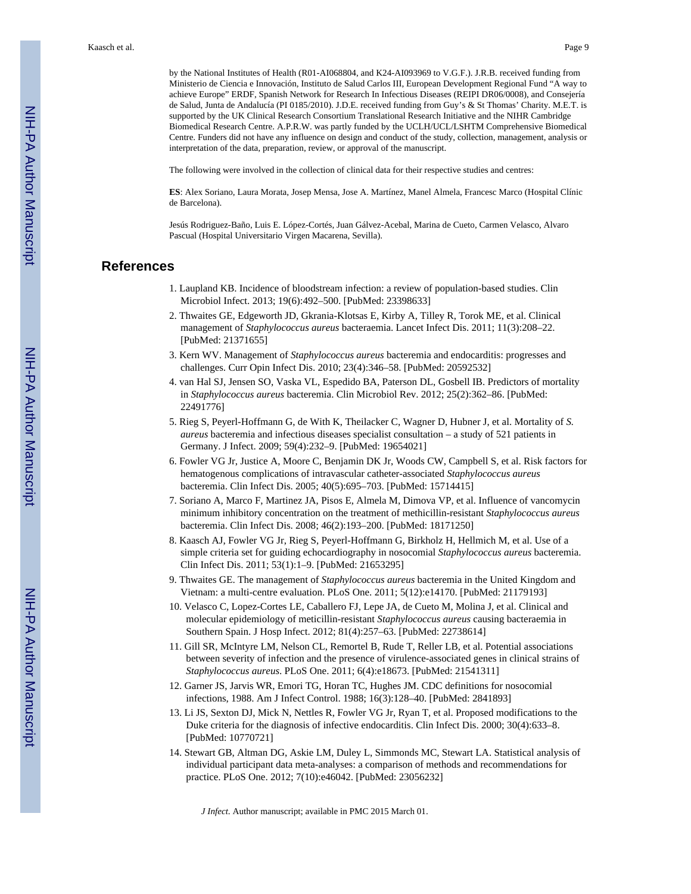by the National Institutes of Health (R01-AI068804, and K24-AI093969 to V.G.F.). J.R.B. received funding from Ministerio de Ciencia e Innovación, Instituto de Salud Carlos III, European Development Regional Fund "A way to achieve Europe" ERDF, Spanish Network for Research In Infectious Diseases (REIPI DR06/0008), and Consejería de Salud, Junta de Andalucía (PI 0185/2010). J.D.E. received funding from Guy's & St Thomas' Charity. M.E.T. is supported by the UK Clinical Research Consortium Translational Research Initiative and the NIHR Cambridge Biomedical Research Centre. A.P.R.W. was partly funded by the UCLH/UCL/LSHTM Comprehensive Biomedical Centre. Funders did not have any influence on design and conduct of the study, collection, management, analysis or interpretation of the data, preparation, review, or approval of the manuscript.

The following were involved in the collection of clinical data for their respective studies and centres:

**ES**: Alex Soriano, Laura Morata, Josep Mensa, Jose A. Martínez, Manel Almela, Francesc Marco (Hospital Clínic de Barcelona).

Jesús Rodriguez-Baño, Luis E. López-Cortés, Juan Gálvez-Acebal, Marina de Cueto, Carmen Velasco, Alvaro Pascual (Hospital Universitario Virgen Macarena, Sevilla).

#### **References**

- 1. Laupland KB. Incidence of bloodstream infection: a review of population-based studies. Clin Microbiol Infect. 2013; 19(6):492–500. [PubMed: 23398633]
- 2. Thwaites GE, Edgeworth JD, Gkrania-Klotsas E, Kirby A, Tilley R, Torok ME, et al. Clinical management of *Staphylococcus aureus* bacteraemia. Lancet Infect Dis. 2011; 11(3):208–22. [PubMed: 21371655]
- 3. Kern WV. Management of *Staphylococcus aureus* bacteremia and endocarditis: progresses and challenges. Curr Opin Infect Dis. 2010; 23(4):346–58. [PubMed: 20592532]
- 4. van Hal SJ, Jensen SO, Vaska VL, Espedido BA, Paterson DL, Gosbell IB. Predictors of mortality in *Staphylococcus aureus* bacteremia. Clin Microbiol Rev. 2012; 25(2):362–86. [PubMed: 22491776]
- 5. Rieg S, Peyerl-Hoffmann G, de With K, Theilacker C, Wagner D, Hubner J, et al. Mortality of *S. aureus* bacteremia and infectious diseases specialist consultation – a study of 521 patients in Germany. J Infect. 2009; 59(4):232–9. [PubMed: 19654021]
- 6. Fowler VG Jr, Justice A, Moore C, Benjamin DK Jr, Woods CW, Campbell S, et al. Risk factors for hematogenous complications of intravascular catheter-associated *Staphylococcus aureus* bacteremia. Clin Infect Dis. 2005; 40(5):695–703. [PubMed: 15714415]
- 7. Soriano A, Marco F, Martinez JA, Pisos E, Almela M, Dimova VP, et al. Influence of vancomycin minimum inhibitory concentration on the treatment of methicillin-resistant *Staphylococcus aureus* bacteremia. Clin Infect Dis. 2008; 46(2):193–200. [PubMed: 18171250]
- 8. Kaasch AJ, Fowler VG Jr, Rieg S, Peyerl-Hoffmann G, Birkholz H, Hellmich M, et al. Use of a simple criteria set for guiding echocardiography in nosocomial *Staphylococcus aureus* bacteremia. Clin Infect Dis. 2011; 53(1):1–9. [PubMed: 21653295]
- 9. Thwaites GE. The management of *Staphylococcus aureus* bacteremia in the United Kingdom and Vietnam: a multi-centre evaluation. PLoS One. 2011; 5(12):e14170. [PubMed: 21179193]
- 10. Velasco C, Lopez-Cortes LE, Caballero FJ, Lepe JA, de Cueto M, Molina J, et al. Clinical and molecular epidemiology of meticillin-resistant *Staphylococcus aureus* causing bacteraemia in Southern Spain. J Hosp Infect. 2012; 81(4):257–63. [PubMed: 22738614]
- 11. Gill SR, McIntyre LM, Nelson CL, Remortel B, Rude T, Reller LB, et al. Potential associations between severity of infection and the presence of virulence-associated genes in clinical strains of *Staphylococcus aureus*. PLoS One. 2011; 6(4):e18673. [PubMed: 21541311]
- 12. Garner JS, Jarvis WR, Emori TG, Horan TC, Hughes JM. CDC definitions for nosocomial infections, 1988. Am J Infect Control. 1988; 16(3):128–40. [PubMed: 2841893]
- 13. Li JS, Sexton DJ, Mick N, Nettles R, Fowler VG Jr, Ryan T, et al. Proposed modifications to the Duke criteria for the diagnosis of infective endocarditis. Clin Infect Dis. 2000; 30(4):633–8. [PubMed: 10770721]
- 14. Stewart GB, Altman DG, Askie LM, Duley L, Simmonds MC, Stewart LA. Statistical analysis of individual participant data meta-analyses: a comparison of methods and recommendations for practice. PLoS One. 2012; 7(10):e46042. [PubMed: 23056232]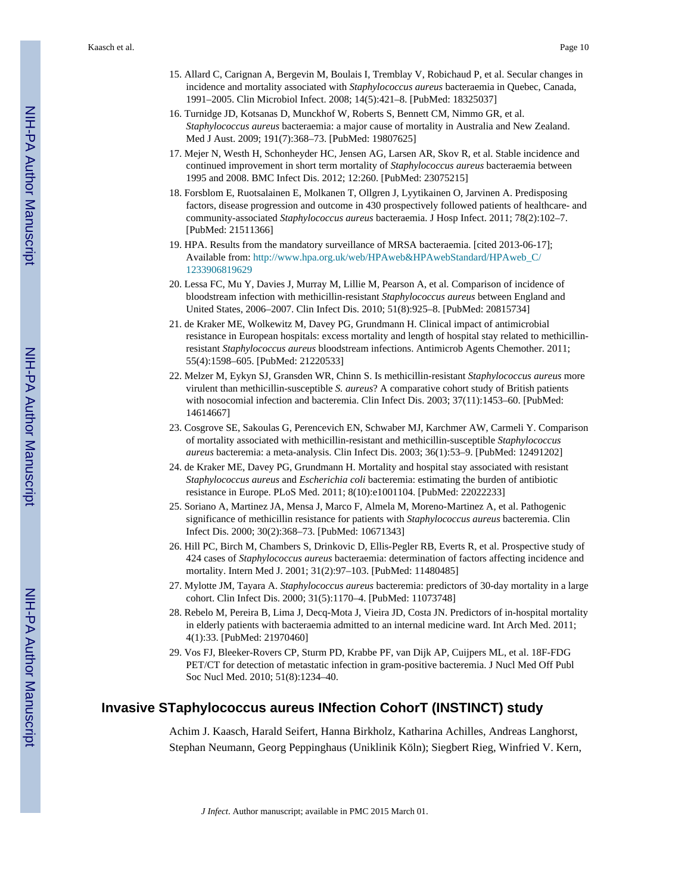- 15. Allard C, Carignan A, Bergevin M, Boulais I, Tremblay V, Robichaud P, et al. Secular changes in incidence and mortality associated with *Staphylococcus aureus* bacteraemia in Quebec, Canada, 1991–2005. Clin Microbiol Infect. 2008; 14(5):421–8. [PubMed: 18325037]
- 16. Turnidge JD, Kotsanas D, Munckhof W, Roberts S, Bennett CM, Nimmo GR, et al. *Staphylococcus aureus* bacteraemia: a major cause of mortality in Australia and New Zealand. Med J Aust. 2009; 191(7):368–73. [PubMed: 19807625]
- 17. Mejer N, Westh H, Schonheyder HC, Jensen AG, Larsen AR, Skov R, et al. Stable incidence and continued improvement in short term mortality of *Staphylococcus aureus* bacteraemia between 1995 and 2008. BMC Infect Dis. 2012; 12:260. [PubMed: 23075215]
- 18. Forsblom E, Ruotsalainen E, Molkanen T, Ollgren J, Lyytikainen O, Jarvinen A. Predisposing factors, disease progression and outcome in 430 prospectively followed patients of healthcare- and community-associated *Staphylococcus aureus* bacteraemia. J Hosp Infect. 2011; 78(2):102–7. [PubMed: 21511366]
- 19. HPA. Results from the mandatory surveillance of MRSA bacteraemia. [cited 2013-06-17]; Available from: [http://www.hpa.org.uk/web/HPAweb&HPAwebStandard/HPAweb\\_C/](http://www.hpa.org.uk/web/HPAweb&HPAwebStandard/HPAweb_C/1233906819629) [1233906819629](http://www.hpa.org.uk/web/HPAweb&HPAwebStandard/HPAweb_C/1233906819629)
- 20. Lessa FC, Mu Y, Davies J, Murray M, Lillie M, Pearson A, et al. Comparison of incidence of bloodstream infection with methicillin-resistant *Staphylococcus aureus* between England and United States, 2006–2007. Clin Infect Dis. 2010; 51(8):925–8. [PubMed: 20815734]
- 21. de Kraker ME, Wolkewitz M, Davey PG, Grundmann H. Clinical impact of antimicrobial resistance in European hospitals: excess mortality and length of hospital stay related to methicillinresistant *Staphylococcus aureus* bloodstream infections. Antimicrob Agents Chemother. 2011; 55(4):1598–605. [PubMed: 21220533]
- 22. Melzer M, Eykyn SJ, Gransden WR, Chinn S. Is methicillin-resistant *Staphylococcus aureus* more virulent than methicillin-susceptible *S. aureus*? A comparative cohort study of British patients with nosocomial infection and bacteremia. Clin Infect Dis. 2003; 37(11):1453–60. [PubMed: 14614667]
- 23. Cosgrove SE, Sakoulas G, Perencevich EN, Schwaber MJ, Karchmer AW, Carmeli Y. Comparison of mortality associated with methicillin-resistant and methicillin-susceptible *Staphylococcus aureus* bacteremia: a meta-analysis. Clin Infect Dis. 2003; 36(1):53–9. [PubMed: 12491202]
- 24. de Kraker ME, Davey PG, Grundmann H. Mortality and hospital stay associated with resistant *Staphylococcus aureus* and *Escherichia coli* bacteremia: estimating the burden of antibiotic resistance in Europe. PLoS Med. 2011; 8(10):e1001104. [PubMed: 22022233]
- 25. Soriano A, Martinez JA, Mensa J, Marco F, Almela M, Moreno-Martinez A, et al. Pathogenic significance of methicillin resistance for patients with *Staphylococcus aureus* bacteremia. Clin Infect Dis. 2000; 30(2):368–73. [PubMed: 10671343]
- 26. Hill PC, Birch M, Chambers S, Drinkovic D, Ellis-Pegler RB, Everts R, et al. Prospective study of 424 cases of *Staphylococcus aureus* bacteraemia: determination of factors affecting incidence and mortality. Intern Med J. 2001; 31(2):97–103. [PubMed: 11480485]
- 27. Mylotte JM, Tayara A. *Staphylococcus aureus* bacteremia: predictors of 30-day mortality in a large cohort. Clin Infect Dis. 2000; 31(5):1170–4. [PubMed: 11073748]
- 28. Rebelo M, Pereira B, Lima J, Decq-Mota J, Vieira JD, Costa JN. Predictors of in-hospital mortality in elderly patients with bacteraemia admitted to an internal medicine ward. Int Arch Med. 2011; 4(1):33. [PubMed: 21970460]
- 29. Vos FJ, Bleeker-Rovers CP, Sturm PD, Krabbe PF, van Dijk AP, Cuijpers ML, et al. 18F-FDG PET/CT for detection of metastatic infection in gram-positive bacteremia. J Nucl Med Off Publ Soc Nucl Med. 2010; 51(8):1234–40.

#### **Invasive STaphylococcus aureus INfection CohorT (INSTINCT) study**

Achim J. Kaasch, Harald Seifert, Hanna Birkholz, Katharina Achilles, Andreas Langhorst, Stephan Neumann, Georg Peppinghaus (Uniklinik Köln); Siegbert Rieg, Winfried V. Kern,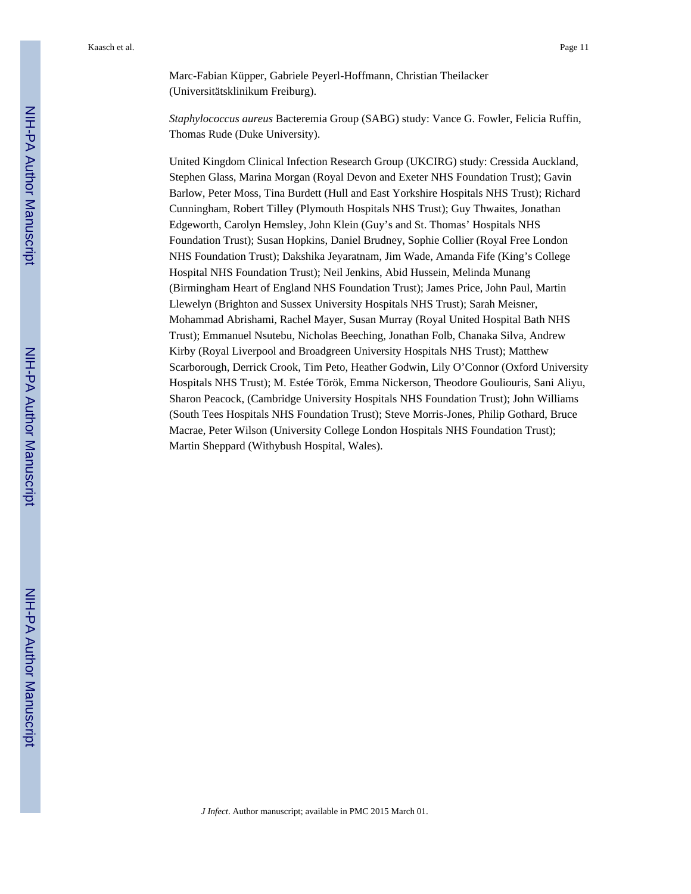Marc-Fabian Küpper, Gabriele Peyerl-Hoffmann, Christian Theilacker (Universitätsklinikum Freiburg).

*Staphylococcus aureus* Bacteremia Group (SABG) study: Vance G. Fowler, Felicia Ruffin, Thomas Rude (Duke University).

United Kingdom Clinical Infection Research Group (UKCIRG) study: Cressida Auckland, Stephen Glass, Marina Morgan (Royal Devon and Exeter NHS Foundation Trust); Gavin Barlow, Peter Moss, Tina Burdett (Hull and East Yorkshire Hospitals NHS Trust); Richard Cunningham, Robert Tilley (Plymouth Hospitals NHS Trust); Guy Thwaites, Jonathan Edgeworth, Carolyn Hemsley, John Klein (Guy's and St. Thomas' Hospitals NHS Foundation Trust); Susan Hopkins, Daniel Brudney, Sophie Collier (Royal Free London NHS Foundation Trust); Dakshika Jeyaratnam, Jim Wade, Amanda Fife (King's College Hospital NHS Foundation Trust); Neil Jenkins, Abid Hussein, Melinda Munang (Birmingham Heart of England NHS Foundation Trust); James Price, John Paul, Martin Llewelyn (Brighton and Sussex University Hospitals NHS Trust); Sarah Meisner, Mohammad Abrishami, Rachel Mayer, Susan Murray (Royal United Hospital Bath NHS Trust); Emmanuel Nsutebu, Nicholas Beeching, Jonathan Folb, Chanaka Silva, Andrew Kirby (Royal Liverpool and Broadgreen University Hospitals NHS Trust); Matthew Scarborough, Derrick Crook, Tim Peto, Heather Godwin, Lily O'Connor (Oxford University Hospitals NHS Trust); M. Estée Török, Emma Nickerson, Theodore Gouliouris, Sani Aliyu, Sharon Peacock, (Cambridge University Hospitals NHS Foundation Trust); John Williams (South Tees Hospitals NHS Foundation Trust); Steve Morris-Jones, Philip Gothard, Bruce Macrae, Peter Wilson (University College London Hospitals NHS Foundation Trust); Martin Sheppard (Withybush Hospital, Wales).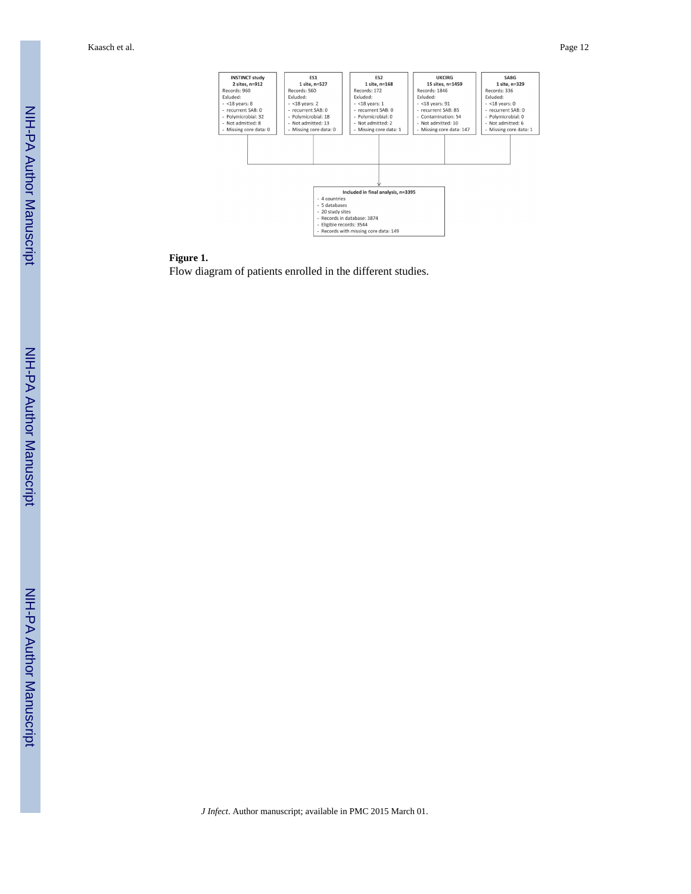

#### **Figure 1.**

Flow diagram of patients enrolled in the different studies.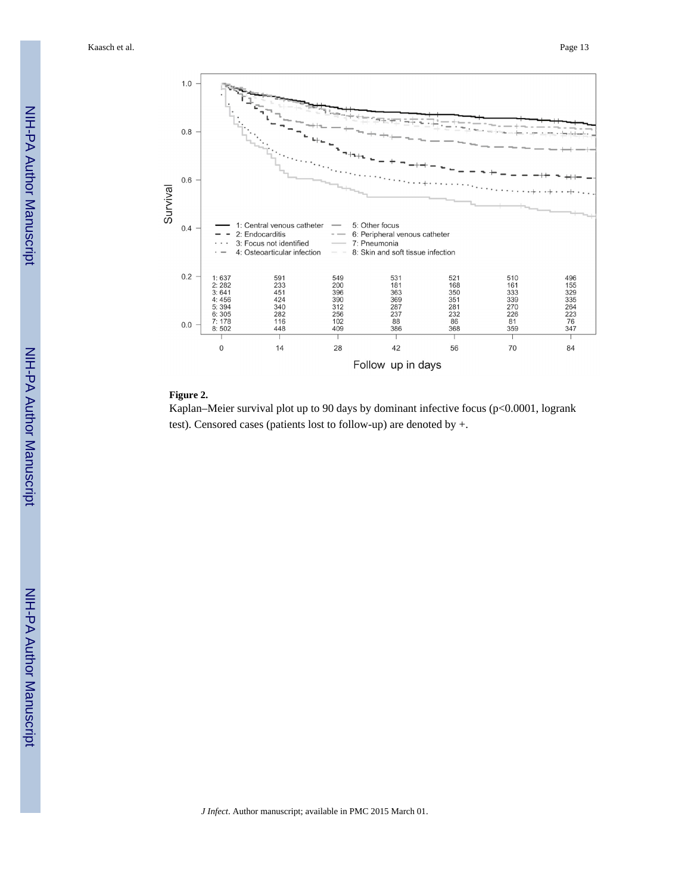

#### **Figure 2.**

Kaplan–Meier survival plot up to 90 days by dominant infective focus (p<0.0001, logrank test). Censored cases (patients lost to follow-up) are denoted by +.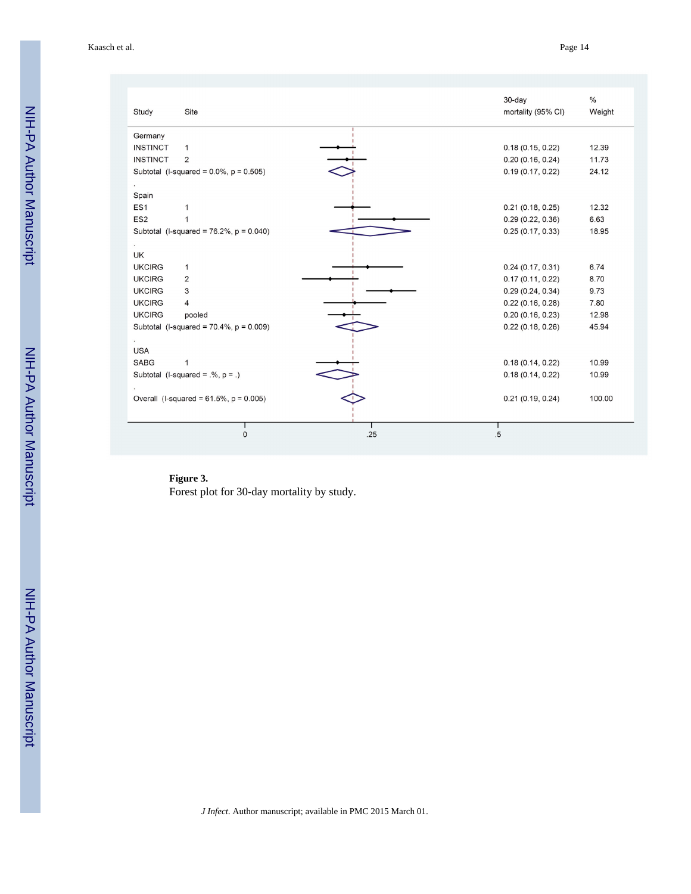| Study                    | Site                                           |     | 30-day<br>mortality (95% CI) | $\frac{0}{0}$<br>Weight |
|--------------------------|------------------------------------------------|-----|------------------------------|-------------------------|
| Germany                  |                                                |     |                              |                         |
| <b>INSTINCT</b>          | 1                                              |     | 0.18(0.15, 0.22)             | 12.39                   |
| <b>INSTINCT</b>          | $\overline{2}$                                 |     | 0.20(0.16, 0.24)             | 11.73                   |
|                          | Subtotal (I-squared = $0.0\%$ , $p = 0.505$ )  |     | 0.19(0.17, 0.22)             | 24.12                   |
| Spain<br>ES <sub>1</sub> | $\mathbf{1}$                                   |     | 0.21(0.18, 0.25)             | 12.32                   |
| ES <sub>2</sub>          |                                                |     | 0.29(0.22, 0.36)             | 6.63                    |
| UK                       | Subtotal (I-squared = $76.2\%$ , $p = 0.040$ ) |     | 0.25(0.17, 0.33)             | 18.95                   |
| <b>UKCIRG</b>            | 1                                              |     | 0.24(0.17, 0.31)             | 6.74                    |
| <b>UKCIRG</b>            | 2                                              |     | 0.17(0.11, 0.22)             | 8.70                    |
| <b>UKCIRG</b>            | 3                                              |     | 0.29(0.24, 0.34)             | 9.73                    |
| <b>UKCIRG</b>            | 4                                              |     | 0.22(0.16, 0.28)             | 7.80                    |
| <b>UKCIRG</b>            | pooled                                         |     | 0.20(0.16, 0.23)             | 12.98                   |
| <b>USA</b>               | Subtotal (I-squared = $70.4\%$ , $p = 0.009$ ) |     | 0.22(0.18, 0.26)             | 45.94                   |
| <b>SABG</b>              | $\mathbf{1}$                                   |     | 0.18(0.14, 0.22)             | 10.99                   |
|                          | Subtotal (I-squared = $.%$ , p = .)            |     | 0.18(0.14, 0.22)             | 10.99                   |
|                          | Overall (I-squared = $61.5\%$ , $p = 0.005$ )  |     | 0.21(0.19, 0.24)             | 100.00                  |
|                          | 0                                              | .25 | .5                           |                         |

#### **Figure 3.**

Forest plot for 30-day mortality by study.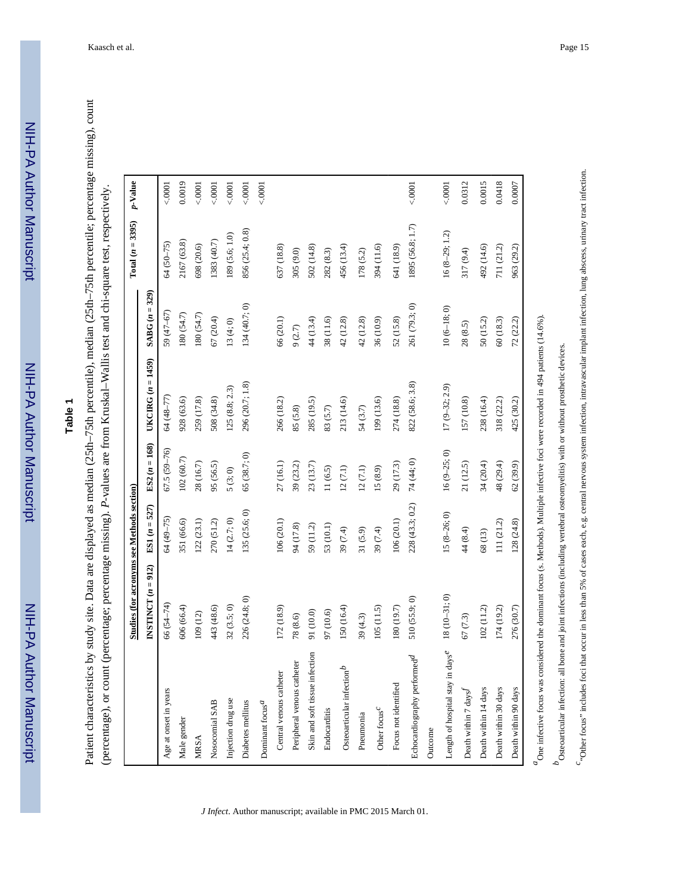NIH-PA Author Manuscript

NIH-PA Author Manuscript

## **Table 1**

Patient characteristics by study site. Data are displayed as median (25th-75th percentile), median (25th-75th percentile; percentage missing), count Patient characteristics by study site. Data are displayed as median (25th–75th percentile), median (25th–75th percentile; percentage missing), count (percentage), or count (percentage; percentage missing). P-values are from Kruskal-Wallis test and chi-square test, respectively. *P*-values are from Kruskal–Wallis test and chi-square test, respectively. (percentage), or count (percentage; percentage missing).

|                                                                                                                                                        | Studies (for acronyms see Methods section) |                 |                 |                     |                  | Total ( <i>n</i> = 3395) $p$ -Value |         |
|--------------------------------------------------------------------------------------------------------------------------------------------------------|--------------------------------------------|-----------------|-----------------|---------------------|------------------|-------------------------------------|---------|
|                                                                                                                                                        | INSTINCT $(n = 912)$                       | ES1 $(n = 527)$ | $ES2(n = 168)$  | UKCIRG $(n = 1459)$ | $SABC (n = 329)$ |                                     |         |
| Age at onset in years                                                                                                                                  | 66 (54-74)                                 | 64 (49-75)      | $67.5(59 - 76)$ | 64 (48-77)          | 59 (47-67)       | 54 (50-75)                          | &0001   |
| Male gender                                                                                                                                            | 606 (66.4)                                 | 351 (66.6)      | 102(60.7)       | 928 (63.6)          | 180(54.7)        | 2167 (63.8)                         | 0.0019  |
| MRSA                                                                                                                                                   | 109 (12)                                   | 122(23.1)       | 28(16.7)        | 259 (17.8)          | 180(54.7)        | 698 (20.6)                          | 0001    |
| Nosocomial SAB                                                                                                                                         | 443 (48.6)                                 | 270 (51.2)      | 95 (56.5)       | 508 (34.8)          | 67(20.4)         | 1383 (40.7)                         | 0001    |
| Injection drug use                                                                                                                                     | 32(3.5; 0)                                 | 14(2.7; 0)      | 5(3;0)          | 125(8.8; 2.3)       | 13(4;0)          | 189 (5.6; 1.0)                      | 0001    |
| Diabetes mellitus                                                                                                                                      | 226 (24.8; 0)                              | 135 (25.6; 0)   | 65 (38.7; 0)    | 296 (20.7; 1.8)     | 134 (40.7; 0)    | 856 (25.4; 0.8)                     | 0001    |
| Dominant focus <sup>a</sup>                                                                                                                            |                                            |                 |                 |                     |                  |                                     | 0001    |
| Central venous catheter                                                                                                                                | 172 (18.9)                                 | 106 (20.1)      | 27 (16.1)       | 266 (18.2)          | 66 (20.1)        | 637 (18.8)                          |         |
| Peripheral venous catheter                                                                                                                             | $78\ (8.6)$                                | 94 (17.8)       | 39(23.2)        | 85 (5.8)            | 9(2.7)           | 305 (9.0)                           |         |
| Skin and soft tissue infection                                                                                                                         | 91 (10.0)                                  | 59 (11.2)       | 23 (13.7)       | 285 (19.5)          | 44 (13.4)        | 502 (14.8)                          |         |
| Endocarditis                                                                                                                                           | 97 (10.6)                                  | 53 (10.1)       | 11(6.5)         | 83(5.7)             | 38 (11.6)        | 282 (8.3)                           |         |
| Osteoarticular infection $b$                                                                                                                           | 150 (16.4)                                 | 39(7.4)         | $12\ (7.1)$     | 213 (14.6)          | 42 (12.8)        | 456 (13.4)                          |         |
| Pneumonia                                                                                                                                              | 39(4.3)                                    | 31(5.9)         | 12(7.1)         | 54(3.7)             | 42(12.8)         | 178 (5.2)                           |         |
| Other focus <sup>c</sup>                                                                                                                               | 105(11.5)                                  | 39(7.4)         | 15(8.9)         | 199 (13.6)          | 36 (10.9)        | 394 (11.6)                          |         |
| Focus not identified                                                                                                                                   | 80 (19.7)                                  | 106 (20.1)      | 29 (17.3)       | 274 (18.8)          | 52 (15.8)        | 641 (18.9)                          |         |
| Echocardiography performed <sup>d</sup>                                                                                                                | 510 (55.9; 0)                              | 228 (43.3; 0.2) | 74 (44; 0)      | 822 (58.6; 3.8)     | 261 (79.3; 0)    | 1895 (56.8; 1.7)                    | < .0001 |
| Outcome                                                                                                                                                |                                            |                 |                 |                     |                  |                                     |         |
| in $\mathrm{days}^e$<br>Length of hospital stay                                                                                                        | $18(10-31; 0)$                             | $15(8-26; 0)$   | $16(9-25; 0)$   | $17(9-32; 2.9)$     | $10(6-18; 0)$    | $16(8-29; 1.2)$                     | < .0001 |
| Death within 7 days <sup>f</sup>                                                                                                                       | 67(7.3)                                    | 44(8.4)         | 21(12.5)        | 157 (10.8)          | 28(8.5)          | 317 (9.4)                           | 0.0312  |
| Death within 14 days                                                                                                                                   | 102(11.2)                                  | 68 (13)         | 34(20.4)        | 238 (16.4)          | 50(15.2)         | 492 (14.6)                          | 0.0015  |
| Death within 30 days                                                                                                                                   | 174 (19.2)                                 | 111 (21.2)      | 48 (29.4)       | 318 (22.2)          | 60 (18.3)        | 711 (21.2)                          | 0.0418  |
| Death within 90 days                                                                                                                                   | 276 (30.7)                                 | (28(24.8))      | 62(39.9)        | 425 (30.2)          | 72 (22.2)        | 963 (29.2)                          | 0.0007  |
| $a_{\text{One}\text{ infective}}$ focus was considered the dominant focus (s. Methods). Multiple infective foci were recorded in 494 patients (14.6%). |                                            |                 |                 |                     |                  |                                     |         |

*J Infect*. Author manuscript; available in PMC 2015 March 01.

*b*Osteoarticular infection: all bone and joint infections (including vertebral osteomyelitis) with or without prosthetic devices.

 $b$  osteoarticular infection: all bone and joint infections (including vertebral osteomyelitis) with or without prosthetic devices.

*c*"Other focus" includes foci that occur in less than 5% of cases each, e.g. central nervous system infection, intravascular implant infection, lung abscess, urinary tract infection.

"Other focus" includes foci that occur in less than 5% of cases each, e.g. central nervous system infection, intravascular implant infection, lung abscess, urinary tract infection.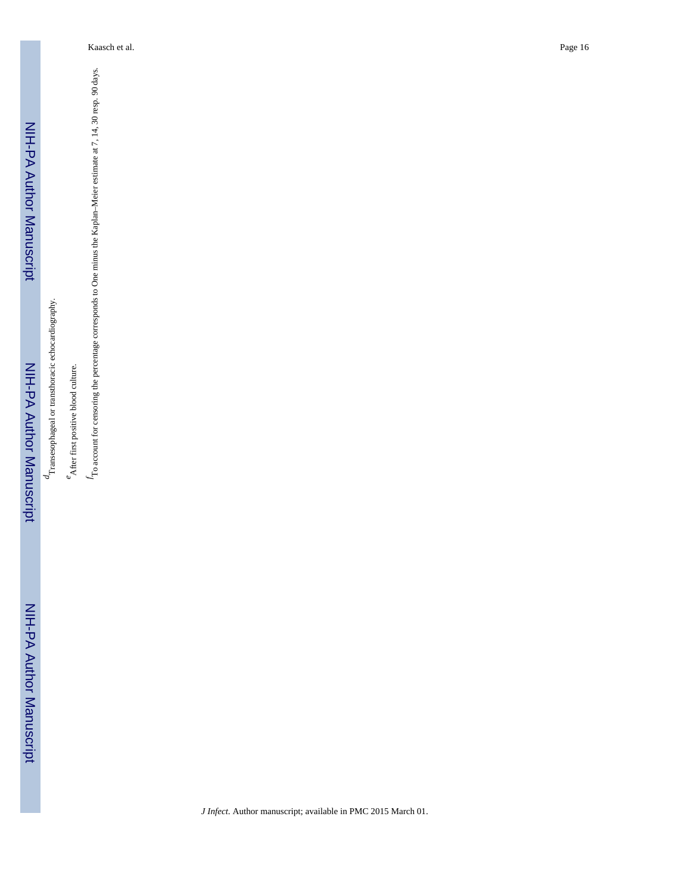NIH-PA Author ManuscriptNIH-PA Author Manuscript

 $d_{\rm Transesophagen}$  or transthoracic echocardiography. *d*Transesophageal or transthoracic echocardiography.

 $^e$  After first positive blood culture. *e*After first positive blood culture.

 $f_{\text{TO account}}$  for censoring the percentage corresponds to One minus the Kaplan–Meier estimate at 7, 14, 30 resp. 90 days. *f*To account for censoring the percentage corresponds to One minus the Kaplan–Meier estimate at 7, 14, 30 resp. 90 days.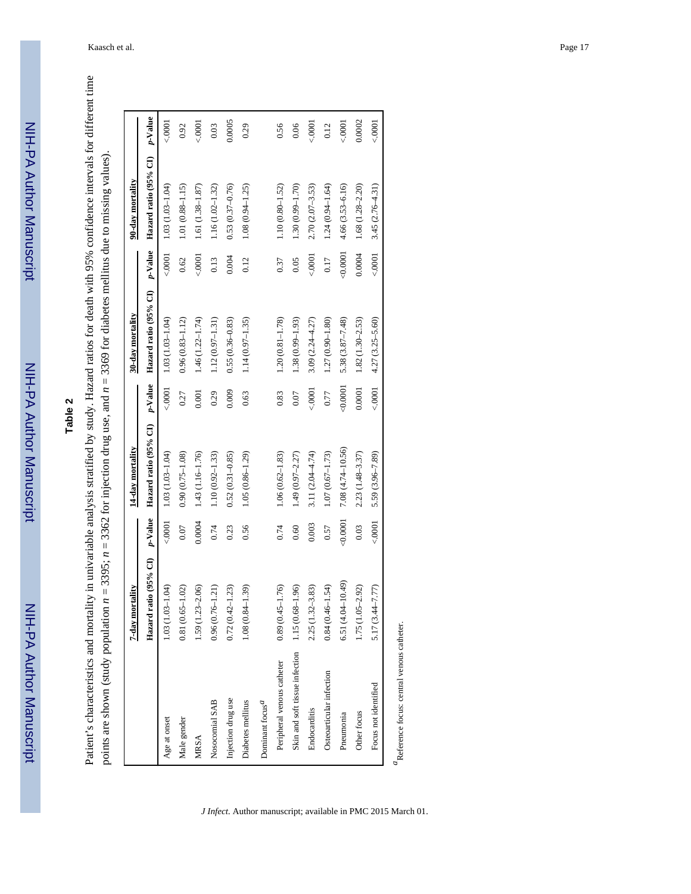NIH-PA Author Manuscript

NIH-PA Author Manuscript

Patient's characteristics and mortality in univariable analysis stratified by study. Hazard ratios for death with 95% confidence intervals for different time Patient's characteristics and mortality in univariable analysis stratified by study. Hazard ratios for death with 95% confidence intervals for different time points are shown (study population  $n = 3395$ ;  $n = 3362$  for injection drug use, and  $n = 3369$  for diabetes mellitus due to missing values). *n* = 3369 for diabetes mellitus due to missing values).  $n = 3362$  for injection drug use, and points are shown (study population

|                                | 7-day mortality          |            | 14-day mortality      |         | 30-day mortality      |         | 90-day mortality      |         |
|--------------------------------|--------------------------|------------|-----------------------|---------|-----------------------|---------|-----------------------|---------|
|                                | ratio (95% CI)<br>Hazard | $p$ -Value | Hazard ratio (95% CI) | p-Value | Hazard ratio (95% CI) | p-Value | Hazard ratio (95% CI) | p-Value |
| Age at onset                   | $1.03(1.03 - 1.04)$      | 0001       | $1.03(1.03 - 1.04)$   | 0001    | $1.03(1.03 - 1.04)$   | 50001   | $1.03(1.03 - 1.04)$   | < .0001 |
| Male gender                    | $0.81(0.65 - 1.02)$      | 0.07       | $0.90(0.75 - 1.08)$   | 0.27    | $0.96(0.83 - 1.12)$   | 0.62    | $1.01(0.88 - 1.15)$   | 0.92    |
| MRSA                           | 1.59 (1.23-2.06)         | 0.0004     | 1.43 (1.16-1.76)      | 0.001   | $1.46(1.22 - 1.74)$   | < 0001  | $1.61(1.38 - 1.87)$   | < 0001  |
| Nosocomial SAB                 | $0.96(0.76 - 1.21)$      | 0.74       | $1.10(0.92 - 1.33)$   | 0.29    | $1.12(0.97 - 1.31)$   | 0.13    | $1.16(1.02 - 1.32)$   | 0.03    |
| Injection drug use             | $0.72(0.42 - 1.23)$      | 0.23       | $0.52(0.31 - 0.85)$   | 0.009   | $0.55(0.36 - 0.83)$   | 0.004   | 0.53 (0.37-0.76)      | 0.0005  |
| Diabetes mellitus              | $1.08(0.84 - 1.39)$      | 0.56       | $1.05(0.86 - 1.29)$   | 0.63    | $1.14(0.97-1.35)$     | 0.12    | $1.08(0.94 - 1.25)$   | 0.29    |
| Dominant focus <sup>a</sup>    |                          |            |                       |         |                       |         |                       |         |
| Peripheral venous catheter     | $15 - 1.76$<br>0.89(0.4  | 0.74       | $1.06(0.62 - 1.83)$   | 0.83    | $1.20(0.81 - 1.78)$   | 0.37    | $1.10(0.80 - 1.52)$   | 0.56    |
| Skin and soft tissue infection | $1.15(0.68 - 1.96)$      | 0.60       | 1.49 (0.97-2.27)      | 0.07    | 1.38 (0.99-1.93)      | 0.05    | 1.30 (0.99-1.70)      | 0.06    |
| Endocarditis                   | 2.25 (1.32-3.83)         | 0.003      | $3.11(2.04 - 4.74)$   | 0001    | $3.09(2.24 - 4.27)$   | 0001    | $2.70(2.07 - 3.53)$   | < 0001  |
| Osteoarticular infection       | $0.84(0.46 - 1.54)$      | 0.57       | $1.07(0.67 - 1.73)$   | 0.77    | $1.27(0.90 - 1.80)$   | 0.17    | $1.24(0.94 - 1.64)$   | 0.12    |
| Pneumonia                      | $6.51(4.04-10.49)$       | 0.0001     | 7.08 (4.74-10.56)     | 0.0001  | $5.38(3.87 - 7.48)$   | 0.0001  | $4.66(3.53 - 6.16)$   | < .0001 |
| Other focus                    | $1.75(1.05 - 2.92)$      | 0.03       | 2.23 (1.48-3.37)      | 0.0001  | $1.82(1.30-2.53)$     | 0.0004  | 1.68 (1.28-2.20)      | 0.0002  |
| Focus not identified           | $5.17(3.44 - 7.77)$      | < .0001    | 5.59 (3.96-7.89)      | < .0001 | $4.27(3.25 - 5.60)$   | 50001   | $3.45(2.76 - 4.31)$   | < 0001  |

 $a$  Reference focus: central venous catheter.  $a<sup>a</sup>$ Reference focus: central venous catheter.